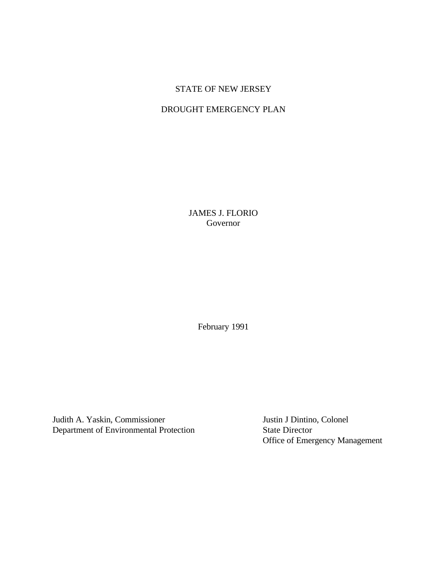# STATE OF NEW JERSEY

# DROUGHT EMERGENCY PLAN

JAMES J. FLORIO Governor

February 1991

Judith A. Yaskin, Commissioner Justin J Dintino, Colonel Department of Environmental Protection State Director

Office of Emergency Management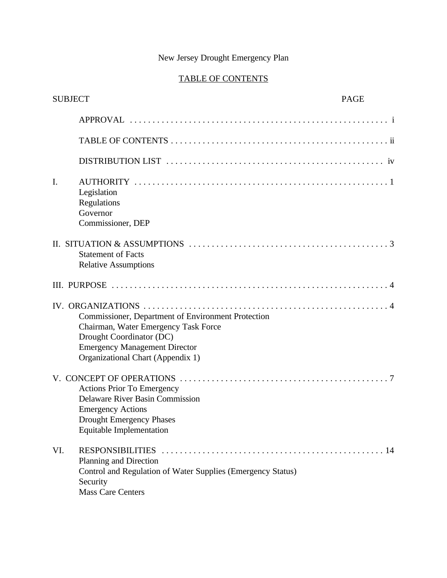# New Jersey Drought Emergency Plan

# TABLE OF CONTENTS

| <b>SUBJECT</b> |                                                                                                                                                                                                     | <b>PAGE</b> |
|----------------|-----------------------------------------------------------------------------------------------------------------------------------------------------------------------------------------------------|-------------|
|                |                                                                                                                                                                                                     |             |
|                |                                                                                                                                                                                                     |             |
|                |                                                                                                                                                                                                     |             |
| $I_{\cdot}$    | Legislation<br>Regulations<br>Governor<br>Commissioner, DEP                                                                                                                                         |             |
|                | II. SITUATION & ASSUMPTIONS $\ldots \ldots \ldots \ldots \ldots \ldots \ldots \ldots \ldots \ldots \ldots \ldots$<br><b>Statement of Facts</b><br><b>Relative Assumptions</b>                       |             |
|                |                                                                                                                                                                                                     |             |
|                | Commissioner, Department of Environment Protection<br>Chairman, Water Emergency Task Force<br>Drought Coordinator (DC)<br><b>Emergency Management Director</b><br>Organizational Chart (Appendix 1) |             |
|                | <b>Actions Prior To Emergency</b><br>Delaware River Basin Commission<br><b>Emergency Actions</b><br><b>Drought Emergency Phases</b><br><b>Equitable Implementation</b>                              |             |
| VI.            | Planning and Direction<br>Control and Regulation of Water Supplies (Emergency Status)<br>Security<br><b>Mass Care Centers</b>                                                                       |             |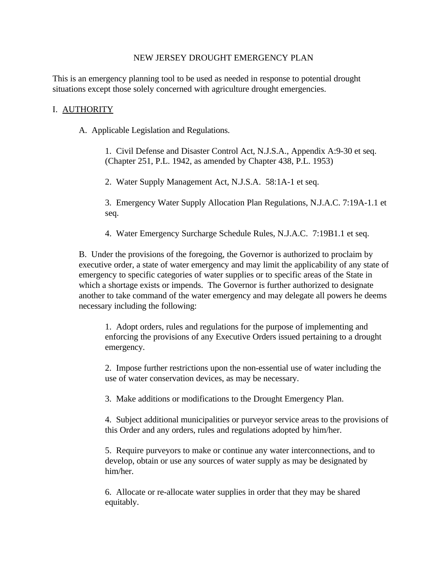# NEW JERSEY DROUGHT EMERGENCY PLAN

This is an emergency planning tool to be used as needed in response to potential drought situations except those solely concerned with agriculture drought emergencies.

# I. AUTHORITY

A. Applicable Legislation and Regulations.

1. Civil Defense and Disaster Control Act, N.J.S.A., Appendix A:9-30 et seq. (Chapter 251, P.L. 1942, as amended by Chapter 438, P.L. 1953)

2. Water Supply Management Act, N.J.S.A. 58:1A-1 et seq.

3. Emergency Water Supply Allocation Plan Regulations, N.J.A.C. 7:19A-1.1 et seq.

4. Water Emergency Surcharge Schedule Rules, N.J.A.C. 7:19B1.1 et seq.

B. Under the provisions of the foregoing, the Governor is authorized to proclaim by executive order, a state of water emergency and may limit the applicability of any state of emergency to specific categories of water supplies or to specific areas of the State in which a shortage exists or impends. The Governor is further authorized to designate another to take command of the water emergency and may delegate all powers he deems necessary including the following:

1. Adopt orders, rules and regulations for the purpose of implementing and enforcing the provisions of any Executive Orders issued pertaining to a drought emergency.

2. Impose further restrictions upon the non-essential use of water including the use of water conservation devices, as may be necessary.

3. Make additions or modifications to the Drought Emergency Plan.

4. Subject additional municipalities or purveyor service areas to the provisions of this Order and any orders, rules and regulations adopted by him/her.

5. Require purveyors to make or continue any water interconnections, and to develop, obtain or use any sources of water supply as may be designated by him/her.

6. Allocate or re-allocate water supplies in order that they may be shared equitably.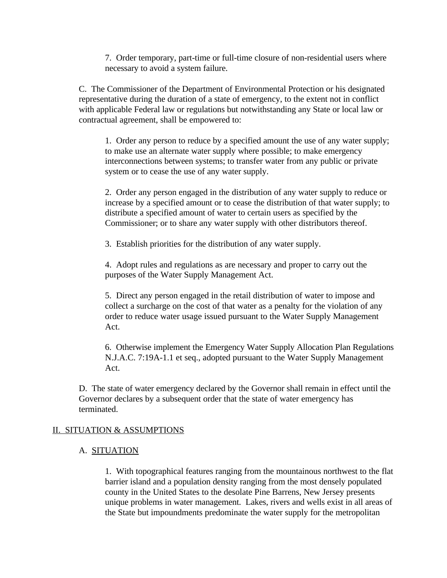7. Order temporary, part-time or full-time closure of non-residential users where necessary to avoid a system failure.

C. The Commissioner of the Department of Environmental Protection or his designated representative during the duration of a state of emergency, to the extent not in conflict with applicable Federal law or regulations but notwithstanding any State or local law or contractual agreement, shall be empowered to:

1. Order any person to reduce by a specified amount the use of any water supply; to make use an alternate water supply where possible; to make emergency interconnections between systems; to transfer water from any public or private system or to cease the use of any water supply.

2. Order any person engaged in the distribution of any water supply to reduce or increase by a specified amount or to cease the distribution of that water supply; to distribute a specified amount of water to certain users as specified by the Commissioner; or to share any water supply with other distributors thereof.

3. Establish priorities for the distribution of any water supply.

4. Adopt rules and regulations as are necessary and proper to carry out the purposes of the Water Supply Management Act.

5. Direct any person engaged in the retail distribution of water to impose and collect a surcharge on the cost of that water as a penalty for the violation of any order to reduce water usage issued pursuant to the Water Supply Management Act.

6. Otherwise implement the Emergency Water Supply Allocation Plan Regulations N.J.A.C. 7:19A-1.1 et seq., adopted pursuant to the Water Supply Management Act.

D. The state of water emergency declared by the Governor shall remain in effect until the Governor declares by a subsequent order that the state of water emergency has terminated.

# II. SITUATION & ASSUMPTIONS

# A. SITUATION

1. With topographical features ranging from the mountainous northwest to the flat barrier island and a population density ranging from the most densely populated county in the United States to the desolate Pine Barrens, New Jersey presents unique problems in water management. Lakes, rivers and wells exist in all areas of the State but impoundments predominate the water supply for the metropolitan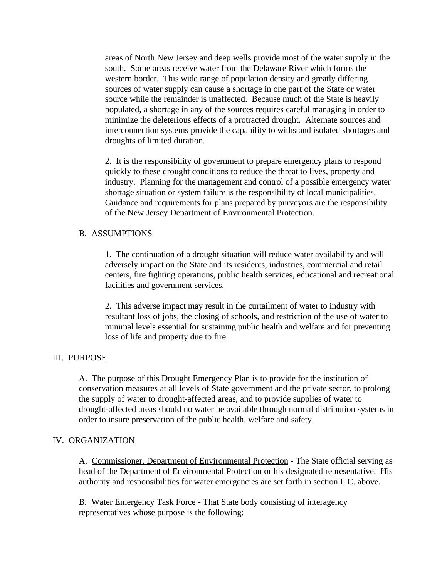areas of North New Jersey and deep wells provide most of the water supply in the south. Some areas receive water from the Delaware River which forms the western border. This wide range of population density and greatly differing sources of water supply can cause a shortage in one part of the State or water source while the remainder is unaffected. Because much of the State is heavily populated, a shortage in any of the sources requires careful managing in order to minimize the deleterious effects of a protracted drought. Alternate sources and interconnection systems provide the capability to withstand isolated shortages and droughts of limited duration.

2. It is the responsibility of government to prepare emergency plans to respond quickly to these drought conditions to reduce the threat to lives, property and industry. Planning for the management and control of a possible emergency water shortage situation or system failure is the responsibility of local municipalities. Guidance and requirements for plans prepared by purveyors are the responsibility of the New Jersey Department of Environmental Protection.

# B. ASSUMPTIONS

1. The continuation of a drought situation will reduce water availability and will adversely impact on the State and its residents, industries, commercial and retail centers, fire fighting operations, public health services, educational and recreational facilities and government services.

2. This adverse impact may result in the curtailment of water to industry with resultant loss of jobs, the closing of schools, and restriction of the use of water to minimal levels essential for sustaining public health and welfare and for preventing loss of life and property due to fire.

#### III. PURPOSE

A. The purpose of this Drought Emergency Plan is to provide for the institution of conservation measures at all levels of State government and the private sector, to prolong the supply of water to drought-affected areas, and to provide supplies of water to drought-affected areas should no water be available through normal distribution systems in order to insure preservation of the public health, welfare and safety.

#### IV. ORGANIZATION

A. Commissioner, Department of Environmental Protection - The State official serving as head of the Department of Environmental Protection or his designated representative. His authority and responsibilities for water emergencies are set forth in section I. C. above.

B. Water Emergency Task Force - That State body consisting of interagency representatives whose purpose is the following: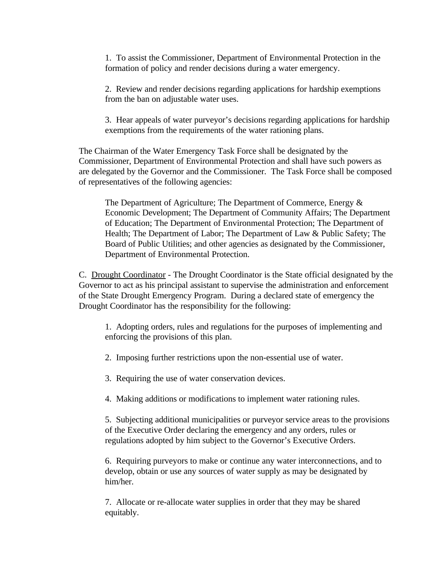1. To assist the Commissioner, Department of Environmental Protection in the formation of policy and render decisions during a water emergency.

2. Review and render decisions regarding applications for hardship exemptions from the ban on adjustable water uses.

3. Hear appeals of water purveyor's decisions regarding applications for hardship exemptions from the requirements of the water rationing plans.

The Chairman of the Water Emergency Task Force shall be designated by the Commissioner, Department of Environmental Protection and shall have such powers as are delegated by the Governor and the Commissioner. The Task Force shall be composed of representatives of the following agencies:

The Department of Agriculture; The Department of Commerce, Energy & Economic Development; The Department of Community Affairs; The Department of Education; The Department of Environmental Protection; The Department of Health; The Department of Labor; The Department of Law & Public Safety; The Board of Public Utilities; and other agencies as designated by the Commissioner, Department of Environmental Protection.

C. Drought Coordinator - The Drought Coordinator is the State official designated by the Governor to act as his principal assistant to supervise the administration and enforcement of the State Drought Emergency Program. During a declared state of emergency the Drought Coordinator has the responsibility for the following:

1. Adopting orders, rules and regulations for the purposes of implementing and enforcing the provisions of this plan.

2. Imposing further restrictions upon the non-essential use of water.

3. Requiring the use of water conservation devices.

4. Making additions or modifications to implement water rationing rules.

5. Subjecting additional municipalities or purveyor service areas to the provisions of the Executive Order declaring the emergency and any orders, rules or regulations adopted by him subject to the Governor's Executive Orders.

6. Requiring purveyors to make or continue any water interconnections, and to develop, obtain or use any sources of water supply as may be designated by him/her.

7. Allocate or re-allocate water supplies in order that they may be shared equitably.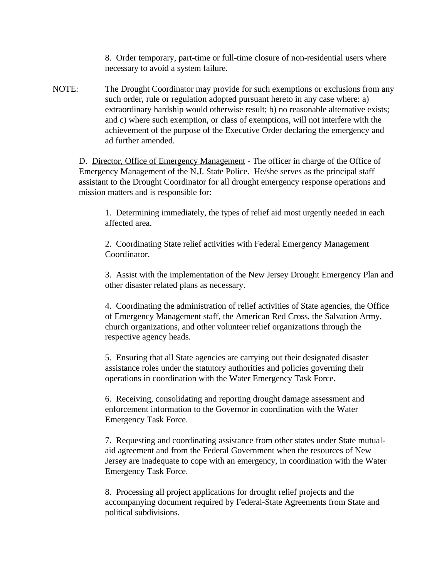8. Order temporary, part-time or full-time closure of non-residential users where necessary to avoid a system failure.

NOTE: The Drought Coordinator may provide for such exemptions or exclusions from any such order, rule or regulation adopted pursuant hereto in any case where: a) extraordinary hardship would otherwise result; b) no reasonable alternative exists; and c) where such exemption, or class of exemptions, will not interfere with the achievement of the purpose of the Executive Order declaring the emergency and ad further amended.

D. Director, Office of Emergency Management - The officer in charge of the Office of Emergency Management of the N.J. State Police. He/she serves as the principal staff assistant to the Drought Coordinator for all drought emergency response operations and mission matters and is responsible for:

1. Determining immediately, the types of relief aid most urgently needed in each affected area.

2. Coordinating State relief activities with Federal Emergency Management Coordinator.

3. Assist with the implementation of the New Jersey Drought Emergency Plan and other disaster related plans as necessary.

4. Coordinating the administration of relief activities of State agencies, the Office of Emergency Management staff, the American Red Cross, the Salvation Army, church organizations, and other volunteer relief organizations through the respective agency heads.

5. Ensuring that all State agencies are carrying out their designated disaster assistance roles under the statutory authorities and policies governing their operations in coordination with the Water Emergency Task Force.

6. Receiving, consolidating and reporting drought damage assessment and enforcement information to the Governor in coordination with the Water Emergency Task Force.

7. Requesting and coordinating assistance from other states under State mutualaid agreement and from the Federal Government when the resources of New Jersey are inadequate to cope with an emergency, in coordination with the Water Emergency Task Force.

8. Processing all project applications for drought relief projects and the accompanying document required by Federal-State Agreements from State and political subdivisions.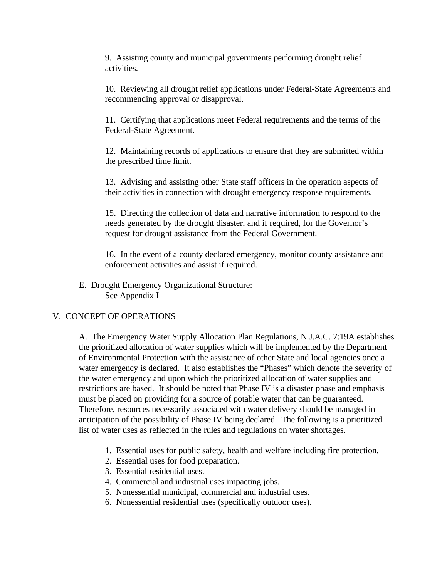9. Assisting county and municipal governments performing drought relief activities.

10. Reviewing all drought relief applications under Federal-State Agreements and recommending approval or disapproval.

11. Certifying that applications meet Federal requirements and the terms of the Federal-State Agreement.

12. Maintaining records of applications to ensure that they are submitted within the prescribed time limit.

13. Advising and assisting other State staff officers in the operation aspects of their activities in connection with drought emergency response requirements.

15. Directing the collection of data and narrative information to respond to the needs generated by the drought disaster, and if required, for the Governor's request for drought assistance from the Federal Government.

16. In the event of a county declared emergency, monitor county assistance and enforcement activities and assist if required.

E. Drought Emergency Organizational Structure: See Appendix I

# V. CONCEPT OF OPERATIONS

A. The Emergency Water Supply Allocation Plan Regulations, N.J.A.C. 7:19A establishes the prioritized allocation of water supplies which will be implemented by the Department of Environmental Protection with the assistance of other State and local agencies once a water emergency is declared. It also establishes the "Phases" which denote the severity of the water emergency and upon which the prioritized allocation of water supplies and restrictions are based. It should be noted that Phase IV is a disaster phase and emphasis must be placed on providing for a source of potable water that can be guaranteed. Therefore, resources necessarily associated with water delivery should be managed in anticipation of the possibility of Phase IV being declared. The following is a prioritized list of water uses as reflected in the rules and regulations on water shortages.

- 1. Essential uses for public safety, health and welfare including fire protection.
- 2. Essential uses for food preparation.
- 3. Essential residential uses.
- 4. Commercial and industrial uses impacting jobs.
- 5. Nonessential municipal, commercial and industrial uses.
- 6. Nonessential residential uses (specifically outdoor uses).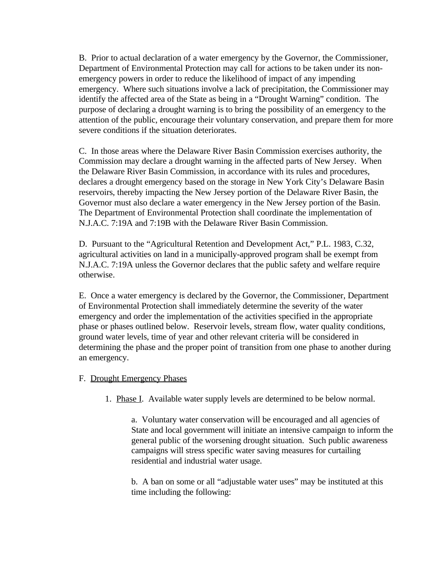B. Prior to actual declaration of a water emergency by the Governor, the Commissioner, Department of Environmental Protection may call for actions to be taken under its nonemergency powers in order to reduce the likelihood of impact of any impending emergency. Where such situations involve a lack of precipitation, the Commissioner may identify the affected area of the State as being in a "Drought Warning" condition. The purpose of declaring a drought warning is to bring the possibility of an emergency to the attention of the public, encourage their voluntary conservation, and prepare them for more severe conditions if the situation deteriorates.

C. In those areas where the Delaware River Basin Commission exercises authority, the Commission may declare a drought warning in the affected parts of New Jersey. When the Delaware River Basin Commission, in accordance with its rules and procedures, declares a drought emergency based on the storage in New York City's Delaware Basin reservoirs, thereby impacting the New Jersey portion of the Delaware River Basin, the Governor must also declare a water emergency in the New Jersey portion of the Basin. The Department of Environmental Protection shall coordinate the implementation of N.J.A.C. 7:19A and 7:19B with the Delaware River Basin Commission.

D. Pursuant to the "Agricultural Retention and Development Act," P.L. 1983, C.32, agricultural activities on land in a municipally-approved program shall be exempt from N.J.A.C. 7:19A unless the Governor declares that the public safety and welfare require otherwise.

E. Once a water emergency is declared by the Governor, the Commissioner, Department of Environmental Protection shall immediately determine the severity of the water emergency and order the implementation of the activities specified in the appropriate phase or phases outlined below. Reservoir levels, stream flow, water quality conditions, ground water levels, time of year and other relevant criteria will be considered in determining the phase and the proper point of transition from one phase to another during an emergency.

- F. Drought Emergency Phases
	- 1. Phase I. Available water supply levels are determined to be below normal.

a. Voluntary water conservation will be encouraged and all agencies of State and local government will initiate an intensive campaign to inform the general public of the worsening drought situation. Such public awareness campaigns will stress specific water saving measures for curtailing residential and industrial water usage.

b. A ban on some or all "adjustable water uses" may be instituted at this time including the following: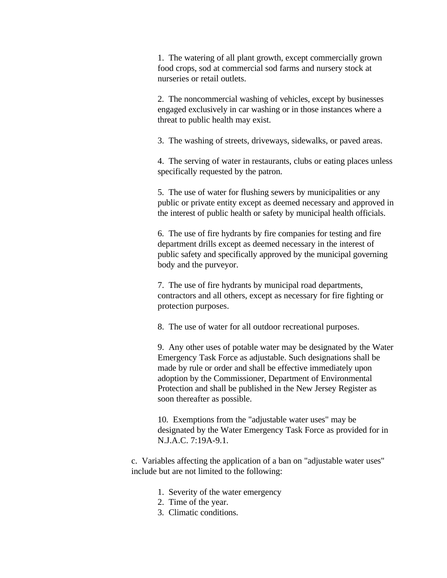1. The watering of all plant growth, except commercially grown food crops, sod at commercial sod farms and nursery stock at nurseries or retail outlets.

2. The noncommercial washing of vehicles, except by businesses engaged exclusively in car washing or in those instances where a threat to public health may exist.

3. The washing of streets, driveways, sidewalks, or paved areas.

4. The serving of water in restaurants, clubs or eating places unless specifically requested by the patron.

5. The use of water for flushing sewers by municipalities or any public or private entity except as deemed necessary and approved in the interest of public health or safety by municipal health officials.

6. The use of fire hydrants by fire companies for testing and fire department drills except as deemed necessary in the interest of public safety and specifically approved by the municipal governing body and the purveyor.

7. The use of fire hydrants by municipal road departments, contractors and all others, except as necessary for fire fighting or protection purposes.

8. The use of water for all outdoor recreational purposes.

9. Any other uses of potable water may be designated by the Water Emergency Task Force as adjustable. Such designations shall be made by rule or order and shall be effective immediately upon adoption by the Commissioner, Department of Environmental Protection and shall be published in the New Jersey Register as soon thereafter as possible.

10. Exemptions from the "adjustable water uses" may be designated by the Water Emergency Task Force as provided for in N.J.A.C. 7:19A-9.1.

c. Variables affecting the application of a ban on "adjustable water uses" include but are not limited to the following:

- 1. Severity of the water emergency
- 2. Time of the year.
- 3. Climatic conditions.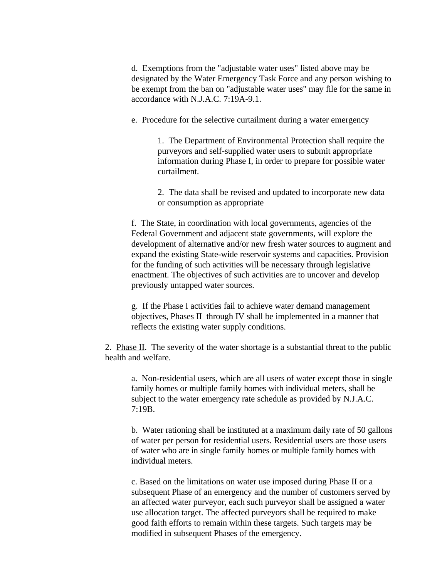d. Exemptions from the "adjustable water uses" listed above may be designated by the Water Emergency Task Force and any person wishing to be exempt from the ban on "adjustable water uses" may file for the same in accordance with N.J.A.C. 7:19A-9.1.

e. Procedure for the selective curtailment during a water emergency

1. The Department of Environmental Protection shall require the purveyors and self-supplied water users to submit appropriate information during Phase I, in order to prepare for possible water curtailment.

2. The data shall be revised and updated to incorporate new data or consumption as appropriate

f. The State, in coordination with local governments, agencies of the Federal Government and adjacent state governments, will explore the development of alternative and/or new fresh water sources to augment and expand the existing State-wide reservoir systems and capacities. Provision for the funding of such activities will be necessary through legislative enactment. The objectives of such activities are to uncover and develop previously untapped water sources.

g. If the Phase I activities fail to achieve water demand management objectives, Phases II through IV shall be implemented in a manner that reflects the existing water supply conditions.

2. Phase  $II$ . The severity of the water shortage is a substantial threat to the public health and welfare.

a. Non-residential users, which are all users of water except those in single family homes or multiple family homes with individual meters, shall be subject to the water emergency rate schedule as provided by N.J.A.C. 7:19B.

b. Water rationing shall be instituted at a maximum daily rate of 50 gallons of water per person for residential users. Residential users are those users of water who are in single family homes or multiple family homes with individual meters.

c. Based on the limitations on water use imposed during Phase II or a subsequent Phase of an emergency and the number of customers served by an affected water purveyor, each such purveyor shall be assigned a water use allocation target. The affected purveyors shall be required to make good faith efforts to remain within these targets. Such targets may be modified in subsequent Phases of the emergency.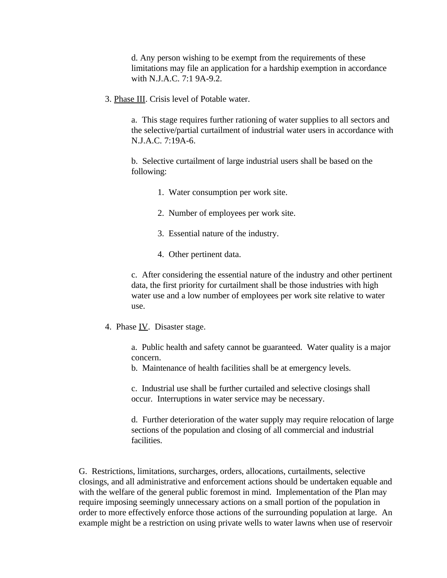d. Any person wishing to be exempt from the requirements of these limitations may file an application for a hardship exemption in accordance with N.J.A.C. 7:1 9A-9.2.

3. Phase III. Crisis level of Potable water.

a. This stage requires further rationing of water supplies to all sectors and the selective/partial curtailment of industrial water users in accordance with N.J.A.C. 7:19A-6.

b. Selective curtailment of large industrial users shall be based on the following:

- 1. Water consumption per work site.
- 2. Number of employees per work site.
- 3. Essential nature of the industry.
- 4. Other pertinent data.

c. After considering the essential nature of the industry and other pertinent data, the first priority for curtailment shall be those industries with high water use and a low number of employees per work site relative to water use.

4. Phase IV. Disaster stage.

a. Public health and safety cannot be guaranteed. Water quality is a major concern.

b. Maintenance of health facilities shall be at emergency levels.

c. Industrial use shall be further curtailed and selective closings shall occur. Interruptions in water service may be necessary.

d. Further deterioration of the water supply may require relocation of large sections of the population and closing of all commercial and industrial facilities.

G. Restrictions, limitations, surcharges, orders, allocations, curtailments, selective closings, and all administrative and enforcement actions should be undertaken equable and with the welfare of the general public foremost in mind. Implementation of the Plan may require imposing seemingly unnecessary actions on a small portion of the population in order to more effectively enforce those actions of the surrounding population at large. An example might be a restriction on using private wells to water lawns when use of reservoir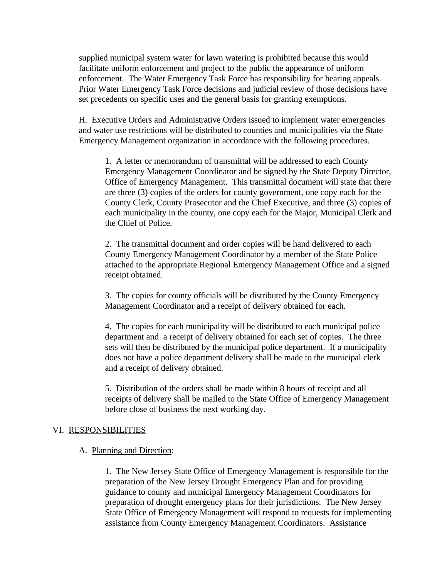supplied municipal system water for lawn watering is prohibited because this would facilitate uniform enforcement and project to the public the appearance of uniform enforcement. The Water Emergency Task Force has responsibility for hearing appeals. Prior Water Emergency Task Force decisions and judicial review of those decisions have set precedents on specific uses and the general basis for granting exemptions.

H. Executive Orders and Administrative Orders issued to implement water emergencies and water use restrictions will be distributed to counties and municipalities via the State Emergency Management organization in accordance with the following procedures.

1. A letter or memorandum of transmittal will be addressed to each County Emergency Management Coordinator and be signed by the State Deputy Director, Office of Emergency Management. This transmittal document will state that there are three (3) copies of the orders for county government, one copy each for the County Clerk, County Prosecutor and the Chief Executive, and three (3) copies of each municipality in the county, one copy each for the Major, Municipal Clerk and the Chief of Police.

2. The transmittal document and order copies will be hand delivered to each County Emergency Management Coordinator by a member of the State Police attached to the appropriate Regional Emergency Management Office and a signed receipt obtained.

3. The copies for county officials will be distributed by the County Emergency Management Coordinator and a receipt of delivery obtained for each.

4. The copies for each municipality will be distributed to each municipal police department and a receipt of delivery obtained for each set of copies. The three sets will then be distributed by the municipal police department. If a municipality does not have a police department delivery shall be made to the municipal clerk and a receipt of delivery obtained.

5. Distribution of the orders shall be made within 8 hours of receipt and all receipts of delivery shall be mailed to the State Office of Emergency Management before close of business the next working day.

#### VI. RESPONSIBILITIES

#### A. Planning and Direction:

1. The New Jersey State Office of Emergency Management is responsible for the preparation of the New Jersey Drought Emergency Plan and for providing guidance to county and municipal Emergency Management Coordinators for preparation of drought emergency plans for their jurisdictions. The New Jersey State Office of Emergency Management will respond to requests for implementing assistance from County Emergency Management Coordinators. Assistance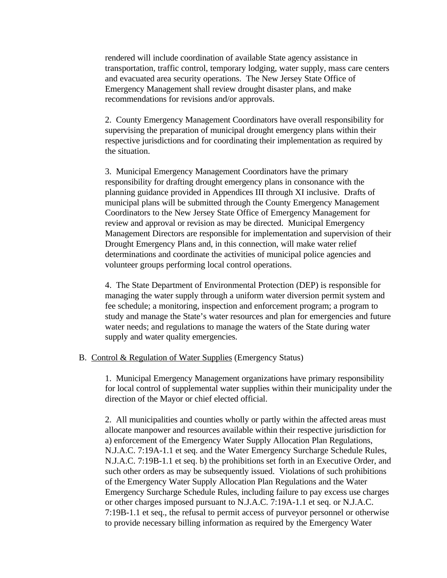rendered will include coordination of available State agency assistance in transportation, traffic control, temporary lodging, water supply, mass care centers and evacuated area security operations. The New Jersey State Office of Emergency Management shall review drought disaster plans, and make recommendations for revisions and/or approvals.

2. County Emergency Management Coordinators have overall responsibility for supervising the preparation of municipal drought emergency plans within their respective jurisdictions and for coordinating their implementation as required by the situation.

3. Municipal Emergency Management Coordinators have the primary responsibility for drafting drought emergency plans in consonance with the planning guidance provided in Appendices III through XI inclusive. Drafts of municipal plans will be submitted through the County Emergency Management Coordinators to the New Jersey State Office of Emergency Management for review and approval or revision as may be directed. Municipal Emergency Management Directors are responsible for implementation and supervision of their Drought Emergency Plans and, in this connection, will make water relief determinations and coordinate the activities of municipal police agencies and volunteer groups performing local control operations.

4. The State Department of Environmental Protection (DEP) is responsible for managing the water supply through a uniform water diversion permit system and fee schedule; a monitoring, inspection and enforcement program; a program to study and manage the State's water resources and plan for emergencies and future water needs; and regulations to manage the waters of the State during water supply and water quality emergencies.

#### B. Control & Regulation of Water Supplies (Emergency Status)

1. Municipal Emergency Management organizations have primary responsibility for local control of supplemental water supplies within their municipality under the direction of the Mayor or chief elected official.

2. All municipalities and counties wholly or partly within the affected areas must allocate manpower and resources available within their respective jurisdiction for a) enforcement of the Emergency Water Supply Allocation Plan Regulations, N.J.A.C. 7:19A-1.1 et seq. and the Water Emergency Surcharge Schedule Rules, N.J.A.C. 7:19B-1.1 et seq. b) the prohibitions set forth in an Executive Order, and such other orders as may be subsequently issued. Violations of such prohibitions of the Emergency Water Supply Allocation Plan Regulations and the Water Emergency Surcharge Schedule Rules, including failure to pay excess use charges or other charges imposed pursuant to N.J.A.C. 7:19A-1.1 et seq. or N.J.A.C. 7:19B-1.1 et seq., the refusal to permit access of purveyor personnel or otherwise to provide necessary billing information as required by the Emergency Water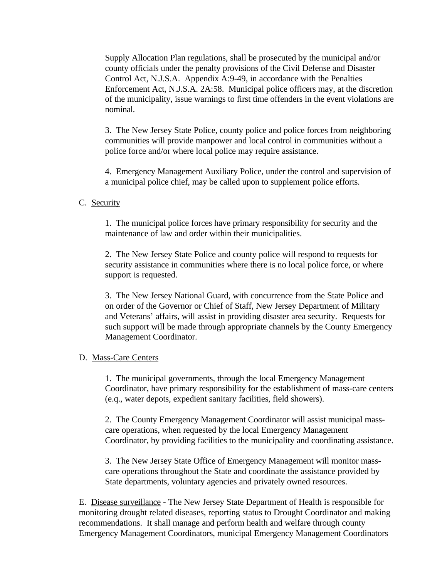Supply Allocation Plan regulations, shall be prosecuted by the municipal and/or county officials under the penalty provisions of the Civil Defense and Disaster Control Act, N.J.S.A. Appendix A:9-49, in accordance with the Penalties Enforcement Act, N.J.S.A. 2A:58. Municipal police officers may, at the discretion of the municipality, issue warnings to first time offenders in the event violations are nominal.

3. The New Jersey State Police, county police and police forces from neighboring communities will provide manpower and local control in communities without a police force and/or where local police may require assistance.

4. Emergency Management Auxiliary Police, under the control and supervision of a municipal police chief, may be called upon to supplement police efforts.

# C. Security

1. The municipal police forces have primary responsibility for security and the maintenance of law and order within their municipalities.

2. The New Jersey State Police and county police will respond to requests for security assistance in communities where there is no local police force, or where support is requested.

3. The New Jersey National Guard, with concurrence from the State Police and on order of the Governor or Chief of Staff, New Jersey Department of Military and Veterans' affairs, will assist in providing disaster area security. Requests for such support will be made through appropriate channels by the County Emergency Management Coordinator.

# D. Mass-Care Centers

1. The municipal governments, through the local Emergency Management Coordinator, have primary responsibility for the establishment of mass-care centers (e.q., water depots, expedient sanitary facilities, field showers).

2. The County Emergency Management Coordinator will assist municipal masscare operations, when requested by the local Emergency Management Coordinator, by providing facilities to the municipality and coordinating assistance.

3. The New Jersey State Office of Emergency Management will monitor masscare operations throughout the State and coordinate the assistance provided by State departments, voluntary agencies and privately owned resources.

E. Disease surveillance - The New Jersey State Department of Health is responsible for monitoring drought related diseases, reporting status to Drought Coordinator and making recommendations. It shall manage and perform health and welfare through county Emergency Management Coordinators, municipal Emergency Management Coordinators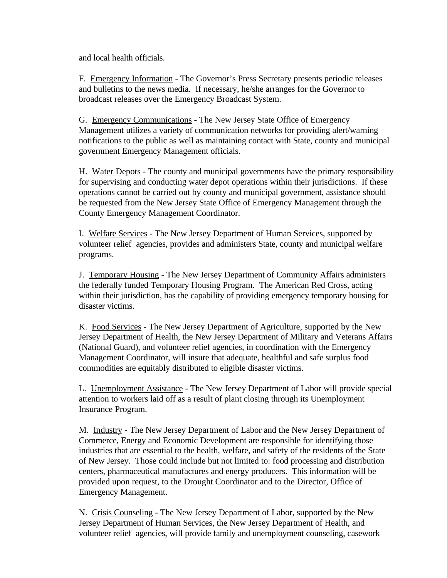and local health officials.

F. Emergency Information - The Governor's Press Secretary presents periodic releases and bulletins to the news media. If necessary, he/she arranges for the Governor to broadcast releases over the Emergency Broadcast System.

G. Emergency Communications - The New Jersey State Office of Emergency Management utilizes a variety of communication networks for providing alert/warning notifications to the public as well as maintaining contact with State, county and municipal government Emergency Management officials.

H. Water Depots - The county and municipal governments have the primary responsibility for supervising and conducting water depot operations within their jurisdictions. If these operations cannot be carried out by county and municipal government, assistance should be requested from the New Jersey State Office of Emergency Management through the County Emergency Management Coordinator.

I. Welfare Services - The New Jersey Department of Human Services, supported by volunteer relief agencies, provides and administers State, county and municipal welfare programs.

J. Temporary Housing - The New Jersey Department of Community Affairs administers the federally funded Temporary Housing Program. The American Red Cross, acting within their jurisdiction, has the capability of providing emergency temporary housing for disaster victims.

K. Food Services - The New Jersey Department of Agriculture, supported by the New Jersey Department of Health, the New Jersey Department of Military and Veterans Affairs (National Guard), and volunteer relief agencies, in coordination with the Emergency Management Coordinator, will insure that adequate, healthful and safe surplus food commodities are equitably distributed to eligible disaster victims.

L. Unemployment Assistance - The New Jersey Department of Labor will provide special attention to workers laid off as a result of plant closing through its Unemployment Insurance Program.

M. Industry - The New Jersey Department of Labor and the New Jersey Department of Commerce, Energy and Economic Development are responsible for identifying those industries that are essential to the health, welfare, and safety of the residents of the State of New Jersey. Those could include but not limited to: food processing and distribution centers, pharmaceutical manufactures and energy producers. This information will be provided upon request, to the Drought Coordinator and to the Director, Office of Emergency Management.

N. Crisis Counseling - The New Jersey Department of Labor, supported by the New Jersey Department of Human Services, the New Jersey Department of Health, and volunteer relief agencies, will provide family and unemployment counseling, casework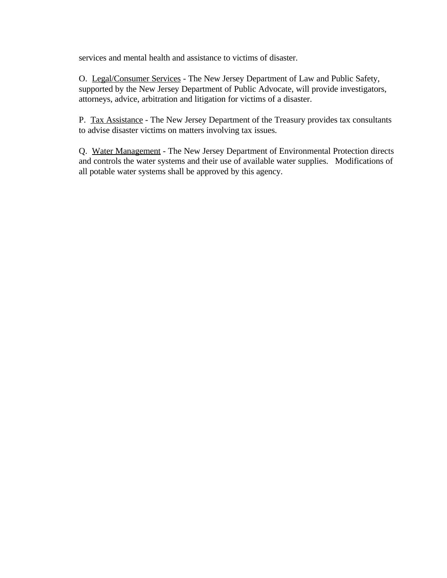services and mental health and assistance to victims of disaster.

O. Legal/Consumer Services - The New Jersey Department of Law and Public Safety, supported by the New Jersey Department of Public Advocate, will provide investigators, attorneys, advice, arbitration and litigation for victims of a disaster.

P. Tax Assistance - The New Jersey Department of the Treasury provides tax consultants to advise disaster victims on matters involving tax issues.

Q. Water Management - The New Jersey Department of Environmental Protection directs and controls the water systems and their use of available water supplies. Modifications of all potable water systems shall be approved by this agency.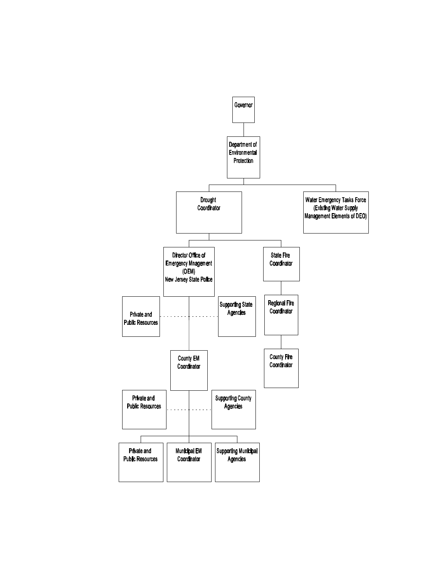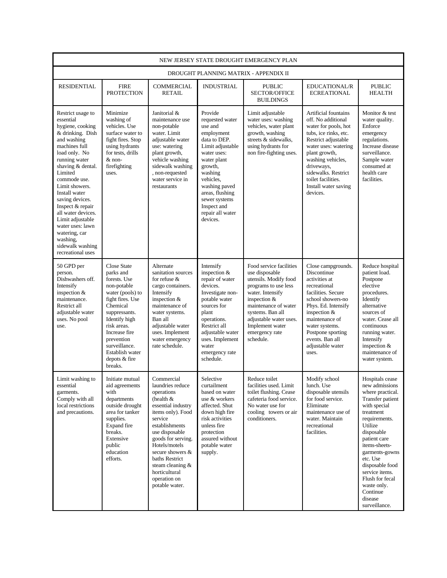| NEW JERSEY STATE DROUGHT EMERGENCY PLAN                                                                                                                                                                                                                                                                                                                                                                |                                                                                                                                                                                                                                                                    |                                                                                                                                                                                                                                                                                                           |                                                                                                                                                                                                                                                              |                                                                                                                                                                                                                                                        |                                                                                                                                                                                                                                                                                        |                                                                                                                                                                                                                                                                                                                                |  |  |  |  |
|--------------------------------------------------------------------------------------------------------------------------------------------------------------------------------------------------------------------------------------------------------------------------------------------------------------------------------------------------------------------------------------------------------|--------------------------------------------------------------------------------------------------------------------------------------------------------------------------------------------------------------------------------------------------------------------|-----------------------------------------------------------------------------------------------------------------------------------------------------------------------------------------------------------------------------------------------------------------------------------------------------------|--------------------------------------------------------------------------------------------------------------------------------------------------------------------------------------------------------------------------------------------------------------|--------------------------------------------------------------------------------------------------------------------------------------------------------------------------------------------------------------------------------------------------------|----------------------------------------------------------------------------------------------------------------------------------------------------------------------------------------------------------------------------------------------------------------------------------------|--------------------------------------------------------------------------------------------------------------------------------------------------------------------------------------------------------------------------------------------------------------------------------------------------------------------------------|--|--|--|--|
|                                                                                                                                                                                                                                                                                                                                                                                                        |                                                                                                                                                                                                                                                                    |                                                                                                                                                                                                                                                                                                           |                                                                                                                                                                                                                                                              | DROUGHT PLANNING MATRIX - APPENDIX II                                                                                                                                                                                                                  |                                                                                                                                                                                                                                                                                        |                                                                                                                                                                                                                                                                                                                                |  |  |  |  |
| <b>RESIDENTIAL</b>                                                                                                                                                                                                                                                                                                                                                                                     | <b>FIRE</b><br><b>PROTECTION</b>                                                                                                                                                                                                                                   | <b>COMMERCIAL</b><br><b>RETAIL</b>                                                                                                                                                                                                                                                                        | <b>INDUSTRIAL</b>                                                                                                                                                                                                                                            | <b>PUBLIC</b><br><b>SECTOR/OFFICE</b><br><b>BUILDINGS</b>                                                                                                                                                                                              | <b>EDUCATIONAL/R</b><br><b>ECREATIONAL</b>                                                                                                                                                                                                                                             | <b>PUBLIC</b><br><b>HEALTH</b>                                                                                                                                                                                                                                                                                                 |  |  |  |  |
| Restrict usage to<br>essential<br>hygiene, cooking<br>& drinking. Dish<br>and washing<br>machines full<br>load only. No<br>running water<br>shaving & dental.<br>Limited<br>commode use.<br>Limit showers.<br>Install water<br>saving devices.<br>Inspect & repair<br>all water devices.<br>Limit adjustable<br>water uses: lawn<br>watering, car<br>washing,<br>sidewalk washing<br>recreational uses | Minimize<br>washing of<br>vehicles. Use<br>surface water to<br>fight fires. Stop<br>using hydrants<br>for tests, drills<br>$&$ non-<br>firefighting<br>uses.                                                                                                       | Janitorial &<br>maintenance use<br>non-potable<br>water. Limit<br>adjustable water<br>use: watering<br>plant growth,<br>vehicle washing<br>sidewalk washing<br>, non-requested<br>water service in<br>restaurants                                                                                         | Provide<br>requested water<br>use and<br>employment<br>data to DEP.<br>Limit adjustable<br>water uses:<br>water plant<br>growth,<br>washing<br>vehicles.<br>washing paved<br>areas, flushing<br>sewer systems<br>Inspect and<br>repair all water<br>devices. | Limit adjustable<br>water uses: washing<br>vehicles, water plant<br>growth, washing<br>streets & sidewalks,<br>using hydrants for<br>non fire-fighting uses.                                                                                           | <b>Artificial fountains</b><br>off. No additional<br>water for pools, hot<br>tubs, ice rinks, etc.<br>Restrict adjustable<br>water uses: watering<br>plant growth,<br>washing vehicles,<br>driveways,<br>sidewalks. Restrict<br>toilet facilities.<br>Install water saving<br>devices. | Monitor & test<br>water quality.<br>Enforce<br>emergency<br>regulations.<br>Increase disease<br>surveillance.<br>Sample water<br>consumed at<br>health care<br>facilities.                                                                                                                                                     |  |  |  |  |
| 50 GPD per<br>person.<br>Dishwashers off.<br>Intensify<br>inspection $&$<br>maintenance.<br>Restrict all<br>adjustable water<br>uses. No pool<br>use.                                                                                                                                                                                                                                                  | <b>Close State</b><br>parks and<br>forests. Use<br>non-potable<br>water (pools) to<br>fight fires. Use<br>Chemical<br>suppressants.<br>Identify high<br>risk areas.<br>Increase fire<br>prevention<br>surveillance.<br>Establish water<br>depots & fire<br>breaks. | Alternate<br>sanitation sources<br>for refuse $\&$<br>cargo containers.<br>Intensify<br>inspection $&$<br>maintenance of<br>water systems.<br>Ban all<br>adjustable water<br>uses. Implement<br>water emergency<br>rate schedule.                                                                         | Intensify<br>inspection &<br>repair of water<br>devices.<br>Investigate non-<br>potable water<br>sources for<br>plant<br>operations.<br>Restrict all<br>adjustable water<br>uses. Implement<br>water<br>emergency rate<br>schedule.                          | Food service facilities<br>use disposable<br>utensils. Modify food<br>programs to use less<br>water. Intensify<br>inspection &<br>maintenance of water<br>systems. Ban all<br>adjustable water uses.<br>Implement water<br>emergency rate<br>schedule. | Close campgrounds.<br>Discontinue<br>activities at<br>recreational<br>facilities. Secure<br>school showers-no<br>Phys. Ed. Intensify<br>inspection &<br>maintenance of<br>water systems.<br>Postpone sporting<br>events. Ban all<br>adjustable water<br>uses.                          | Reduce hospital<br>patient load.<br>Postpone<br>elective<br>procedures.<br>Identify<br>alternative<br>sources of<br>water. Cease all<br>continuous<br>running water.<br>Intensify<br>inspection &<br>maintenance of<br>water system.                                                                                           |  |  |  |  |
| Limit washing to<br>essential<br>garments.<br>Comply with all<br>local restrictions<br>and precautions.                                                                                                                                                                                                                                                                                                | Initiate mutual<br>aid agreements<br>with<br>departments<br>outside drought<br>area for tanker<br>supplies.<br>Expand fire<br>breaks.<br>Extensive<br>public<br>education<br>efforts.                                                                              | Commercial<br>laundries reduce<br>operations<br>(health $&$<br>essential industry<br>items only). Food<br>service<br>establishments<br>use disposable<br>goods for serving.<br>Hotels/motels<br>secure showers &<br>baths Restrict<br>steam cleaning &<br>horticultural<br>operation on<br>potable water. | Selective<br>curtailment<br>based on water<br>use & workers<br>affected. Shut<br>down high fire<br>risk activities<br>unless fire<br>protection<br>assured without<br>potable water<br>supply.                                                               | Reduce toilet<br>facilities used. Limit<br>toilet flushing. Cease<br>cafeteria food service.<br>No water use for<br>cooling towers or air<br>conditioners.                                                                                             | Modify school<br>lunch. Use<br>disposable utensils<br>for food service.<br>Eliminate<br>maintenance use of<br>water. Maintain<br>recreational<br>facilities.                                                                                                                           | Hospitals cease<br>new admissions<br>where practical.<br>Transfer patient<br>with special<br>treatment<br>requirements.<br>Utilize<br>disposable<br>patient care<br>items-sheets-<br>garments-gowns<br>etc. Use<br>disposable food<br>service items.<br>Flush for fecal<br>waste only.<br>Continue<br>disease<br>surveillance. |  |  |  |  |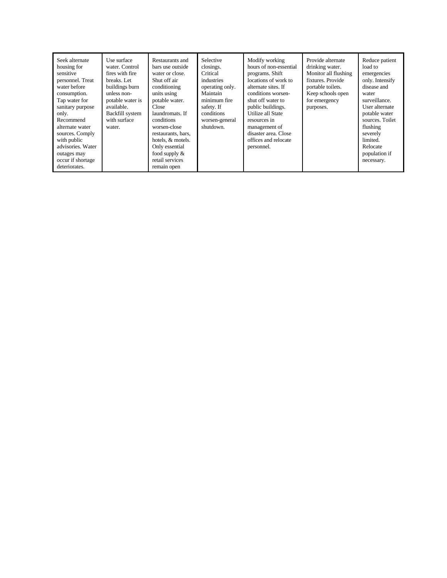| Seek alternate<br>housing for<br>sensitive<br>personnel. Treat<br>water before<br>consumption.<br>Tap water for<br>sanitary purpose<br>only.<br>Recommend<br>alternate water<br>sources. Comply<br>with public<br>advisories. Water<br>outages may<br>occur if shortage<br>deteriorates. | Use surface<br>water. Control<br>fires with fire<br>breaks. Let<br>buildings burn<br>unless non-<br>potable water is<br>available.<br>Backfill system<br>with surface<br>water. | Restaurants and<br>bars use outside<br>water or close.<br>Shut off air<br>conditioning<br>units using<br>potable water.<br>Close<br>laundromats. If<br>conditions<br>worsen-close<br>restaurants, bars,<br>hotels, & motels.<br>Only essential<br>food supply $\&$<br>retail services<br>remain open | Selective<br>closings.<br>Critical<br>industries<br>operating only.<br>Maintain<br>minimum fire<br>safety. If<br>conditions<br>worsen-general<br>shutdown. | Modify working<br>hours of non-essential<br>programs. Shift<br>locations of work to<br>alternate sites. If<br>conditions worsen-<br>shut off water to<br>public buildings.<br>Utilize all State<br>resources in<br>management of<br>disaster area. Close<br>offices and relocate<br>personnel. | Provide alternate<br>drinking water.<br>Monitor all flushing<br>fixtures. Provide<br>portable toilets.<br>Keep schools open<br>for emergency<br>purposes. | Reduce patient<br>load to<br>emergencies<br>only. Intensify<br>disease and<br>water<br>surveillance.<br>User alternate<br>potable water<br>sources. Toilet<br>flushing<br>severely<br>limited.<br>Relocate<br>population if<br>necessary. |
|------------------------------------------------------------------------------------------------------------------------------------------------------------------------------------------------------------------------------------------------------------------------------------------|---------------------------------------------------------------------------------------------------------------------------------------------------------------------------------|------------------------------------------------------------------------------------------------------------------------------------------------------------------------------------------------------------------------------------------------------------------------------------------------------|------------------------------------------------------------------------------------------------------------------------------------------------------------|------------------------------------------------------------------------------------------------------------------------------------------------------------------------------------------------------------------------------------------------------------------------------------------------|-----------------------------------------------------------------------------------------------------------------------------------------------------------|-------------------------------------------------------------------------------------------------------------------------------------------------------------------------------------------------------------------------------------------|
|------------------------------------------------------------------------------------------------------------------------------------------------------------------------------------------------------------------------------------------------------------------------------------------|---------------------------------------------------------------------------------------------------------------------------------------------------------------------------------|------------------------------------------------------------------------------------------------------------------------------------------------------------------------------------------------------------------------------------------------------------------------------------------------------|------------------------------------------------------------------------------------------------------------------------------------------------------------|------------------------------------------------------------------------------------------------------------------------------------------------------------------------------------------------------------------------------------------------------------------------------------------------|-----------------------------------------------------------------------------------------------------------------------------------------------------------|-------------------------------------------------------------------------------------------------------------------------------------------------------------------------------------------------------------------------------------------|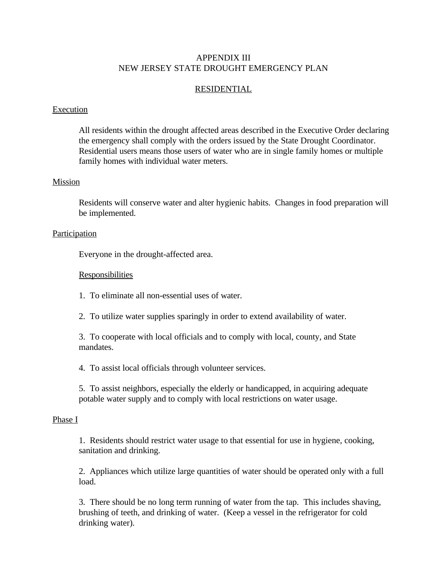# APPENDIX III NEW JERSEY STATE DROUGHT EMERGENCY PLAN

# RESIDENTIAL

# Execution

All residents within the drought affected areas described in the Executive Order declaring the emergency shall comply with the orders issued by the State Drought Coordinator. Residential users means those users of water who are in single family homes or multiple family homes with individual water meters.

# Mission

Residents will conserve water and alter hygienic habits. Changes in food preparation will be implemented.

# **Participation**

Everyone in the drought-affected area.

# Responsibilities

1. To eliminate all non-essential uses of water.

2. To utilize water supplies sparingly in order to extend availability of water.

3. To cooperate with local officials and to comply with local, county, and State mandates.

4. To assist local officials through volunteer services.

5. To assist neighbors, especially the elderly or handicapped, in acquiring adequate potable water supply and to comply with local restrictions on water usage.

#### Phase I

1. Residents should restrict water usage to that essential for use in hygiene, cooking, sanitation and drinking.

2. Appliances which utilize large quantities of water should be operated only with a full load.

3. There should be no long term running of water from the tap. This includes shaving, brushing of teeth, and drinking of water. (Keep a vessel in the refrigerator for cold drinking water).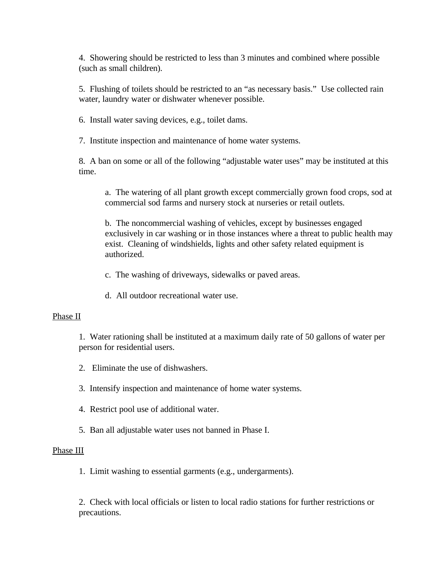4. Showering should be restricted to less than 3 minutes and combined where possible (such as small children).

5. Flushing of toilets should be restricted to an "as necessary basis." Use collected rain water, laundry water or dishwater whenever possible.

6. Install water saving devices, e.g., toilet dams.

7. Institute inspection and maintenance of home water systems.

8. A ban on some or all of the following "adjustable water uses" may be instituted at this time.

a. The watering of all plant growth except commercially grown food crops, sod at commercial sod farms and nursery stock at nurseries or retail outlets.

b. The noncommercial washing of vehicles, except by businesses engaged exclusively in car washing or in those instances where a threat to public health may exist. Cleaning of windshields, lights and other safety related equipment is authorized.

c. The washing of driveways, sidewalks or paved areas.

d. All outdoor recreational water use.

#### Phase II

1. Water rationing shall be instituted at a maximum daily rate of 50 gallons of water per person for residential users.

- 2. Eliminate the use of dishwashers.
- 3. Intensify inspection and maintenance of home water systems.
- 4. Restrict pool use of additional water.
- 5. Ban all adjustable water uses not banned in Phase I.

# Phase III

1. Limit washing to essential garments (e.g., undergarments).

2. Check with local officials or listen to local radio stations for further restrictions or precautions.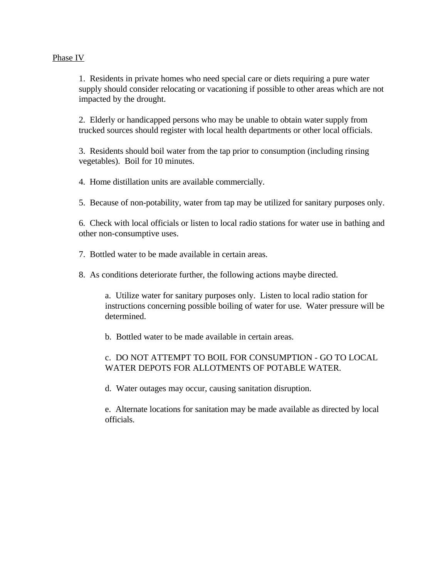# Phase IV

1. Residents in private homes who need special care or diets requiring a pure water supply should consider relocating or vacationing if possible to other areas which are not impacted by the drought.

2. Elderly or handicapped persons who may be unable to obtain water supply from trucked sources should register with local health departments or other local officials.

3. Residents should boil water from the tap prior to consumption (including rinsing vegetables). Boil for 10 minutes.

4. Home distillation units are available commercially.

5. Because of non-potability, water from tap may be utilized for sanitary purposes only.

6. Check with local officials or listen to local radio stations for water use in bathing and other non-consumptive uses.

7. Bottled water to be made available in certain areas.

8. As conditions deteriorate further, the following actions maybe directed.

a. Utilize water for sanitary purposes only. Listen to local radio station for instructions concerning possible boiling of water for use. Water pressure will be determined.

b. Bottled water to be made available in certain areas.

# c. DO NOT ATTEMPT TO BOIL FOR CONSUMPTION - GO TO LOCAL WATER DEPOTS FOR ALLOTMENTS OF POTABLE WATER.

d. Water outages may occur, causing sanitation disruption.

e. Alternate locations for sanitation may be made available as directed by local officials.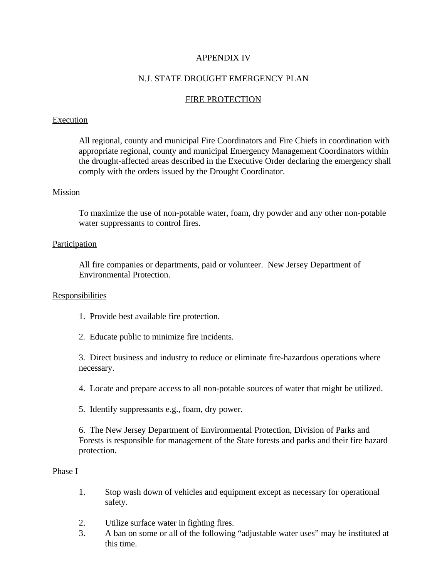# APPENDIX IV

# N.J. STATE DROUGHT EMERGENCY PLAN

# FIRE PROTECTION

#### **Execution**

All regional, county and municipal Fire Coordinators and Fire Chiefs in coordination with appropriate regional, county and municipal Emergency Management Coordinators within the drought-affected areas described in the Executive Order declaring the emergency shall comply with the orders issued by the Drought Coordinator.

#### Mission

To maximize the use of non-potable water, foam, dry powder and any other non-potable water suppressants to control fires.

# Participation

All fire companies or departments, paid or volunteer. New Jersey Department of Environmental Protection.

#### **Responsibilities**

- 1. Provide best available fire protection.
- 2. Educate public to minimize fire incidents.

3. Direct business and industry to reduce or eliminate fire-hazardous operations where necessary.

4. Locate and prepare access to all non-potable sources of water that might be utilized.

5. Identify suppressants e.g., foam, dry power.

6. The New Jersey Department of Environmental Protection, Division of Parks and Forests is responsible for management of the State forests and parks and their fire hazard protection.

## Phase I

- 1. Stop wash down of vehicles and equipment except as necessary for operational safety.
- 2. Utilize surface water in fighting fires.
- 3. A ban on some or all of the following "adjustable water uses" may be instituted at this time.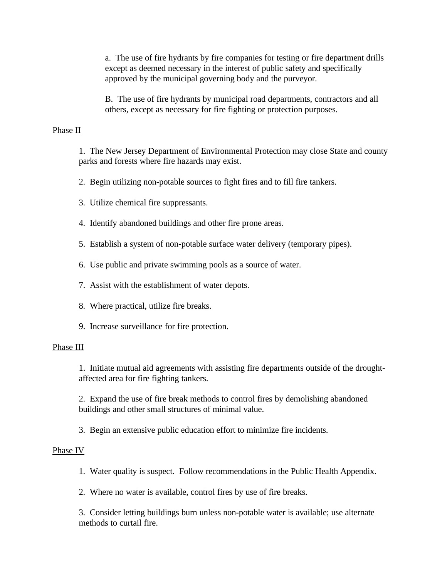a. The use of fire hydrants by fire companies for testing or fire department drills except as deemed necessary in the interest of public safety and specifically approved by the municipal governing body and the purveyor.

B. The use of fire hydrants by municipal road departments, contractors and all others, except as necessary for fire fighting or protection purposes.

#### Phase II

1. The New Jersey Department of Environmental Protection may close State and county parks and forests where fire hazards may exist.

2. Begin utilizing non-potable sources to fight fires and to fill fire tankers.

- 3. Utilize chemical fire suppressants.
- 4. Identify abandoned buildings and other fire prone areas.
- 5. Establish a system of non-potable surface water delivery (temporary pipes).
- 6. Use public and private swimming pools as a source of water.
- 7. Assist with the establishment of water depots.
- 8. Where practical, utilize fire breaks.
- 9. Increase surveillance for fire protection.

#### Phase III

1. Initiate mutual aid agreements with assisting fire departments outside of the droughtaffected area for fire fighting tankers.

2. Expand the use of fire break methods to control fires by demolishing abandoned buildings and other small structures of minimal value.

3. Begin an extensive public education effort to minimize fire incidents.

# Phase IV

1. Water quality is suspect. Follow recommendations in the Public Health Appendix.

2. Where no water is available, control fires by use of fire breaks.

3. Consider letting buildings burn unless non-potable water is available; use alternate methods to curtail fire.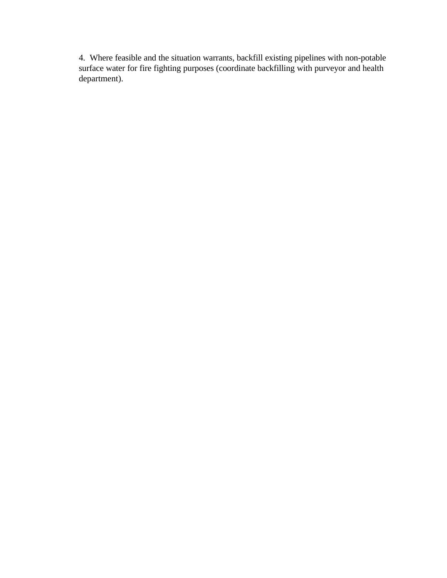4. Where feasible and the situation warrants, backfill existing pipelines with non-potable surface water for fire fighting purposes (coordinate backfilling with purveyor and health department).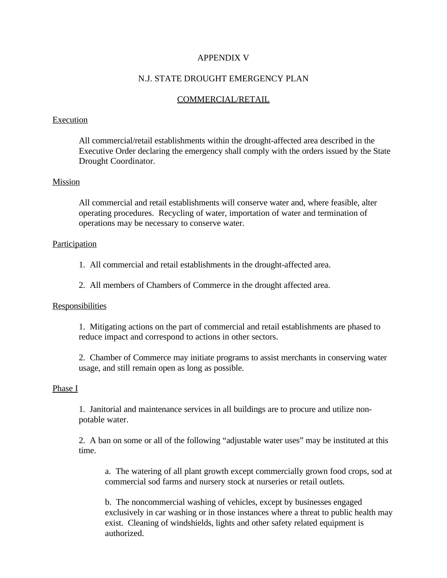# APPENDIX V

# N.J. STATE DROUGHT EMERGENCY PLAN

# COMMERCIAL/RETAIL

#### Execution

All commercial/retail establishments within the drought-affected area described in the Executive Order declaring the emergency shall comply with the orders issued by the State Drought Coordinator.

# Mission

All commercial and retail establishments will conserve water and, where feasible, alter operating procedures. Recycling of water, importation of water and termination of operations may be necessary to conserve water.

#### Participation

- 1. All commercial and retail establishments in the drought-affected area.
- 2. All members of Chambers of Commerce in the drought affected area.

#### Responsibilities

1. Mitigating actions on the part of commercial and retail establishments are phased to reduce impact and correspond to actions in other sectors.

2. Chamber of Commerce may initiate programs to assist merchants in conserving water usage, and still remain open as long as possible.

#### Phase I

1. Janitorial and maintenance services in all buildings are to procure and utilize nonpotable water.

2. A ban on some or all of the following "adjustable water uses" may be instituted at this time.

a. The watering of all plant growth except commercially grown food crops, sod at commercial sod farms and nursery stock at nurseries or retail outlets.

b. The noncommercial washing of vehicles, except by businesses engaged exclusively in car washing or in those instances where a threat to public health may exist. Cleaning of windshields, lights and other safety related equipment is authorized.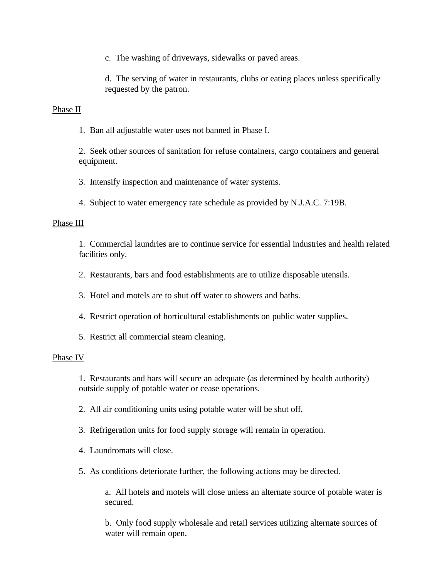c. The washing of driveways, sidewalks or paved areas.

d. The serving of water in restaurants, clubs or eating places unless specifically requested by the patron.

# Phase II

1. Ban all adjustable water uses not banned in Phase I.

2. Seek other sources of sanitation for refuse containers, cargo containers and general equipment.

3. Intensify inspection and maintenance of water systems.

4. Subject to water emergency rate schedule as provided by N.J.A.C. 7:19B.

#### Phase III

1. Commercial laundries are to continue service for essential industries and health related facilities only.

2. Restaurants, bars and food establishments are to utilize disposable utensils.

3. Hotel and motels are to shut off water to showers and baths.

- 4. Restrict operation of horticultural establishments on public water supplies.
- 5. Restrict all commercial steam cleaning.

#### Phase IV

1. Restaurants and bars will secure an adequate (as determined by health authority) outside supply of potable water or cease operations.

- 2. All air conditioning units using potable water will be shut off.
- 3. Refrigeration units for food supply storage will remain in operation.
- 4. Laundromats will close.
- 5. As conditions deteriorate further, the following actions may be directed.

a. All hotels and motels will close unless an alternate source of potable water is secured.

b. Only food supply wholesale and retail services utilizing alternate sources of water will remain open.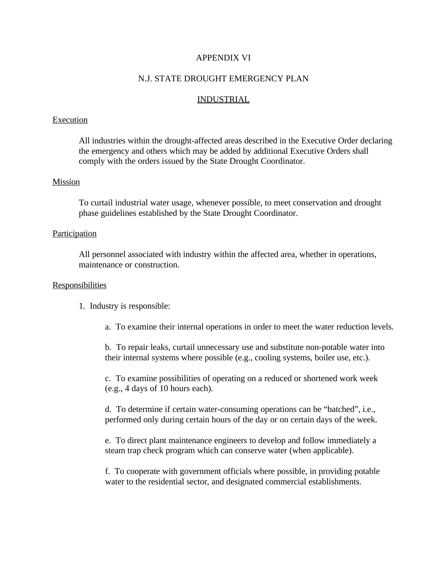# APPENDIX VI

# N.J. STATE DROUGHT EMERGENCY PLAN

#### INDUSTRIAL

#### Execution

All industries within the drought-affected areas described in the Executive Order declaring the emergency and others which may be added by additional Executive Orders shall comply with the orders issued by the State Drought Coordinator.

## Mission

To curtail industrial water usage, whenever possible, to meet conservation and drought phase guidelines established by the State Drought Coordinator.

#### **Participation**

All personnel associated with industry within the affected area, whether in operations, maintenance or construction.

#### **Responsibilities**

- 1. Industry is responsible:
	- a. To examine their internal operations in order to meet the water reduction levels.

b. To repair leaks, curtail unnecessary use and substitute non-potable water into their internal systems where possible (e.g., cooling systems, boiler use, etc.).

c. To examine possibilities of operating on a reduced or shortened work week (e.g., 4 days of 10 hours each).

d. To determine if certain water-consuming operations can be "batched", i.e., performed only during certain hours of the day or on certain days of the week.

e. To direct plant maintenance engineers to develop and follow immediately a steam trap check program which can conserve water (when applicable).

f. To cooperate with government officials where possible, in providing potable water to the residential sector, and designated commercial establishments.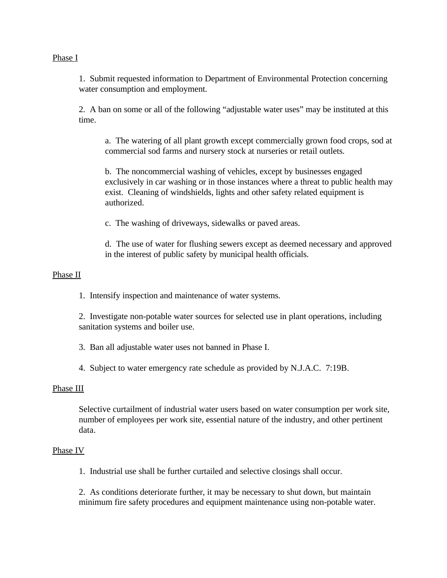## Phase I

1. Submit requested information to Department of Environmental Protection concerning water consumption and employment.

2. A ban on some or all of the following "adjustable water uses" may be instituted at this time.

a. The watering of all plant growth except commercially grown food crops, sod at commercial sod farms and nursery stock at nurseries or retail outlets.

b. The noncommercial washing of vehicles, except by businesses engaged exclusively in car washing or in those instances where a threat to public health may exist. Cleaning of windshields, lights and other safety related equipment is authorized.

c. The washing of driveways, sidewalks or paved areas.

d. The use of water for flushing sewers except as deemed necessary and approved in the interest of public safety by municipal health officials.

# Phase II

1. Intensify inspection and maintenance of water systems.

2. Investigate non-potable water sources for selected use in plant operations, including sanitation systems and boiler use.

3. Ban all adjustable water uses not banned in Phase I.

4. Subject to water emergency rate schedule as provided by N.J.A.C. 7:19B.

#### Phase III

Selective curtailment of industrial water users based on water consumption per work site, number of employees per work site, essential nature of the industry, and other pertinent data.

# Phase IV

1. Industrial use shall be further curtailed and selective closings shall occur.

2. As conditions deteriorate further, it may be necessary to shut down, but maintain minimum fire safety procedures and equipment maintenance using non-potable water.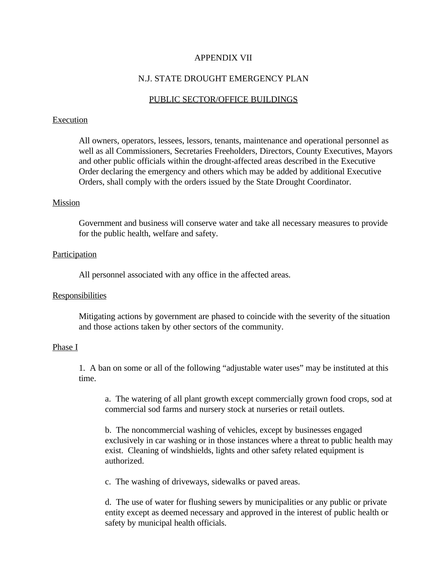#### APPENDIX VII

# N.J. STATE DROUGHT EMERGENCY PLAN

# PUBLIC SECTOR/OFFICE BUILDINGS

#### Execution

All owners, operators, lessees, lessors, tenants, maintenance and operational personnel as well as all Commissioners, Secretaries Freeholders, Directors, County Executives, Mayors and other public officials within the drought-affected areas described in the Executive Order declaring the emergency and others which may be added by additional Executive Orders, shall comply with the orders issued by the State Drought Coordinator.

## Mission

Government and business will conserve water and take all necessary measures to provide for the public health, welfare and safety.

## **Participation**

All personnel associated with any office in the affected areas.

#### **Responsibilities**

Mitigating actions by government are phased to coincide with the severity of the situation and those actions taken by other sectors of the community.

#### Phase I

1. A ban on some or all of the following "adjustable water uses" may be instituted at this time.

a. The watering of all plant growth except commercially grown food crops, sod at commercial sod farms and nursery stock at nurseries or retail outlets.

b. The noncommercial washing of vehicles, except by businesses engaged exclusively in car washing or in those instances where a threat to public health may exist. Cleaning of windshields, lights and other safety related equipment is authorized.

c. The washing of driveways, sidewalks or paved areas.

d. The use of water for flushing sewers by municipalities or any public or private entity except as deemed necessary and approved in the interest of public health or safety by municipal health officials.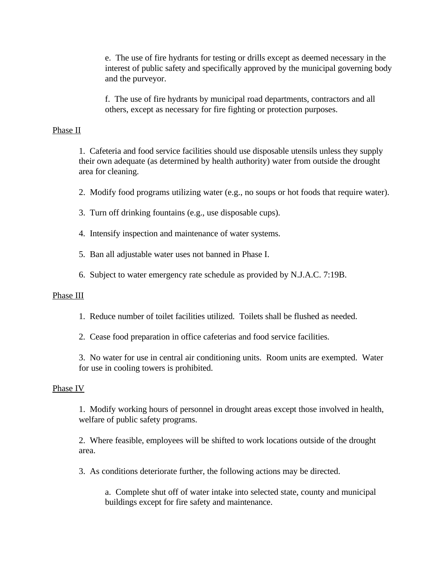e. The use of fire hydrants for testing or drills except as deemed necessary in the interest of public safety and specifically approved by the municipal governing body and the purveyor.

f. The use of fire hydrants by municipal road departments, contractors and all others, except as necessary for fire fighting or protection purposes.

#### Phase II

1. Cafeteria and food service facilities should use disposable utensils unless they supply their own adequate (as determined by health authority) water from outside the drought area for cleaning.

- 2. Modify food programs utilizing water (e.g., no soups or hot foods that require water).
- 3. Turn off drinking fountains (e.g., use disposable cups).
- 4. Intensify inspection and maintenance of water systems.
- 5. Ban all adjustable water uses not banned in Phase I.
- 6. Subject to water emergency rate schedule as provided by N.J.A.C. 7:19B.

#### Phase III

- 1. Reduce number of toilet facilities utilized. Toilets shall be flushed as needed.
- 2. Cease food preparation in office cafeterias and food service facilities.

3. No water for use in central air conditioning units. Room units are exempted. Water for use in cooling towers is prohibited.

#### Phase IV

1. Modify working hours of personnel in drought areas except those involved in health, welfare of public safety programs.

2. Where feasible, employees will be shifted to work locations outside of the drought area.

3. As conditions deteriorate further, the following actions may be directed.

a. Complete shut off of water intake into selected state, county and municipal buildings except for fire safety and maintenance.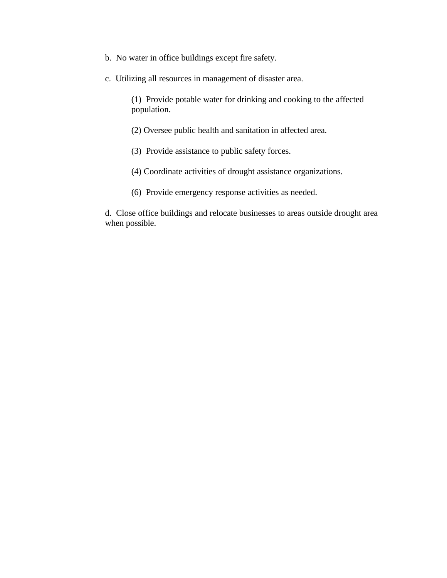- b. No water in office buildings except fire safety.
- c. Utilizing all resources in management of disaster area.

(1) Provide potable water for drinking and cooking to the affected population.

- (2) Oversee public health and sanitation in affected area.
- (3) Provide assistance to public safety forces.
- (4) Coordinate activities of drought assistance organizations.
- (6) Provide emergency response activities as needed.

d. Close office buildings and relocate businesses to areas outside drought area when possible.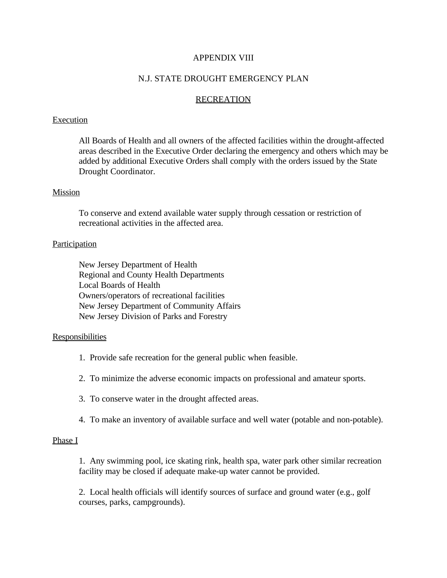# APPENDIX VIII

# N.J. STATE DROUGHT EMERGENCY PLAN

#### **RECREATION**

#### Execution

All Boards of Health and all owners of the affected facilities within the drought-affected areas described in the Executive Order declaring the emergency and others which may be added by additional Executive Orders shall comply with the orders issued by the State Drought Coordinator.

#### Mission

To conserve and extend available water supply through cessation or restriction of recreational activities in the affected area.

#### Participation

New Jersey Department of Health Regional and County Health Departments Local Boards of Health Owners/operators of recreational facilities New Jersey Department of Community Affairs New Jersey Division of Parks and Forestry

#### **Responsibilities**

- 1. Provide safe recreation for the general public when feasible.
- 2. To minimize the adverse economic impacts on professional and amateur sports.
- 3. To conserve water in the drought affected areas.
- 4. To make an inventory of available surface and well water (potable and non-potable).

#### Phase I

1. Any swimming pool, ice skating rink, health spa, water park other similar recreation facility may be closed if adequate make-up water cannot be provided.

2. Local health officials will identify sources of surface and ground water (e.g., golf courses, parks, campgrounds).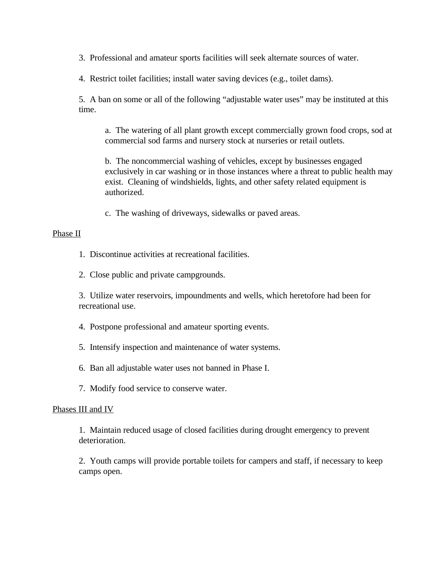3. Professional and amateur sports facilities will seek alternate sources of water.

4. Restrict toilet facilities; install water saving devices (e.g., toilet dams).

5. A ban on some or all of the following "adjustable water uses" may be instituted at this time.

a. The watering of all plant growth except commercially grown food crops, sod at commercial sod farms and nursery stock at nurseries or retail outlets.

b. The noncommercial washing of vehicles, except by businesses engaged exclusively in car washing or in those instances where a threat to public health may exist. Cleaning of windshields, lights, and other safety related equipment is authorized.

c. The washing of driveways, sidewalks or paved areas.

# Phase II

1. Discontinue activities at recreational facilities.

2. Close public and private campgrounds.

3. Utilize water reservoirs, impoundments and wells, which heretofore had been for recreational use.

4. Postpone professional and amateur sporting events.

5. Intensify inspection and maintenance of water systems.

6. Ban all adjustable water uses not banned in Phase I.

7. Modify food service to conserve water.

# Phases III and IV

1. Maintain reduced usage of closed facilities during drought emergency to prevent deterioration.

2. Youth camps will provide portable toilets for campers and staff, if necessary to keep camps open.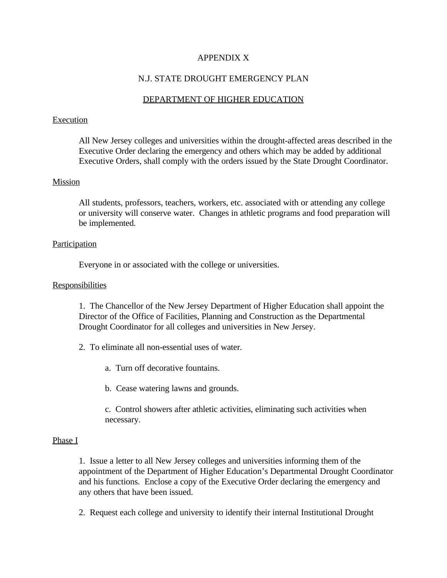# APPENDIX X

# N.J. STATE DROUGHT EMERGENCY PLAN

# DEPARTMENT OF HIGHER EDUCATION

#### Execution

All New Jersey colleges and universities within the drought-affected areas described in the Executive Order declaring the emergency and others which may be added by additional Executive Orders, shall comply with the orders issued by the State Drought Coordinator.

# Mission

All students, professors, teachers, workers, etc. associated with or attending any college or university will conserve water. Changes in athletic programs and food preparation will be implemented.

# **Participation**

Everyone in or associated with the college or universities.

# **Responsibilities**

1. The Chancellor of the New Jersey Department of Higher Education shall appoint the Director of the Office of Facilities, Planning and Construction as the Departmental Drought Coordinator for all colleges and universities in New Jersey.

- 2. To eliminate all non-essential uses of water.
	- a. Turn off decorative fountains.
	- b. Cease watering lawns and grounds.

c. Control showers after athletic activities, eliminating such activities when necessary.

# Phase I

1. Issue a letter to all New Jersey colleges and universities informing them of the appointment of the Department of Higher Education's Departmental Drought Coordinator and his functions. Enclose a copy of the Executive Order declaring the emergency and any others that have been issued.

2. Request each college and university to identify their internal Institutional Drought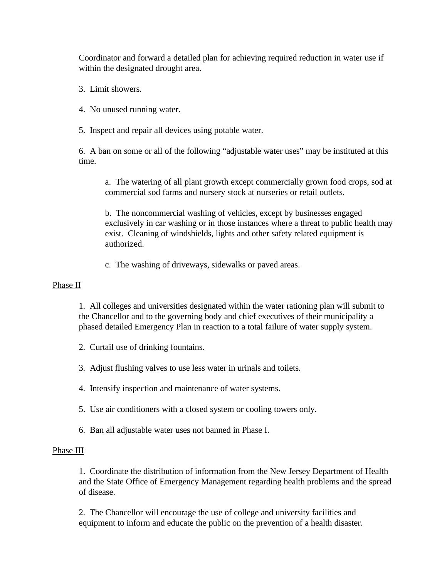Coordinator and forward a detailed plan for achieving required reduction in water use if within the designated drought area.

- 3. Limit showers.
- 4. No unused running water.
- 5. Inspect and repair all devices using potable water.

6. A ban on some or all of the following "adjustable water uses" may be instituted at this time.

a. The watering of all plant growth except commercially grown food crops, sod at commercial sod farms and nursery stock at nurseries or retail outlets.

b. The noncommercial washing of vehicles, except by businesses engaged exclusively in car washing or in those instances where a threat to public health may exist. Cleaning of windshields, lights and other safety related equipment is authorized.

c. The washing of driveways, sidewalks or paved areas.

# Phase II

1. All colleges and universities designated within the water rationing plan will submit to the Chancellor and to the governing body and chief executives of their municipality a phased detailed Emergency Plan in reaction to a total failure of water supply system.

- 2. Curtail use of drinking fountains.
- 3. Adjust flushing valves to use less water in urinals and toilets.
- 4. Intensify inspection and maintenance of water systems.
- 5. Use air conditioners with a closed system or cooling towers only.
- 6. Ban all adjustable water uses not banned in Phase I.

# Phase III

1. Coordinate the distribution of information from the New Jersey Department of Health and the State Office of Emergency Management regarding health problems and the spread of disease.

2. The Chancellor will encourage the use of college and university facilities and equipment to inform and educate the public on the prevention of a health disaster.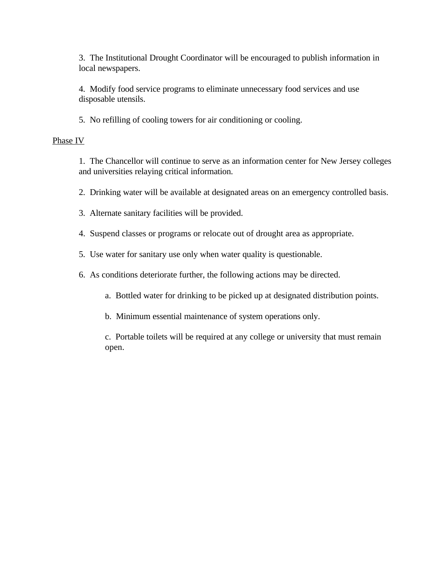3. The Institutional Drought Coordinator will be encouraged to publish information in local newspapers.

4. Modify food service programs to eliminate unnecessary food services and use disposable utensils.

5. No refilling of cooling towers for air conditioning or cooling.

#### Phase IV

1. The Chancellor will continue to serve as an information center for New Jersey colleges and universities relaying critical information.

2. Drinking water will be available at designated areas on an emergency controlled basis.

3. Alternate sanitary facilities will be provided.

- 4. Suspend classes or programs or relocate out of drought area as appropriate.
- 5. Use water for sanitary use only when water quality is questionable.
- 6. As conditions deteriorate further, the following actions may be directed.

a. Bottled water for drinking to be picked up at designated distribution points.

b. Minimum essential maintenance of system operations only.

c. Portable toilets will be required at any college or university that must remain open.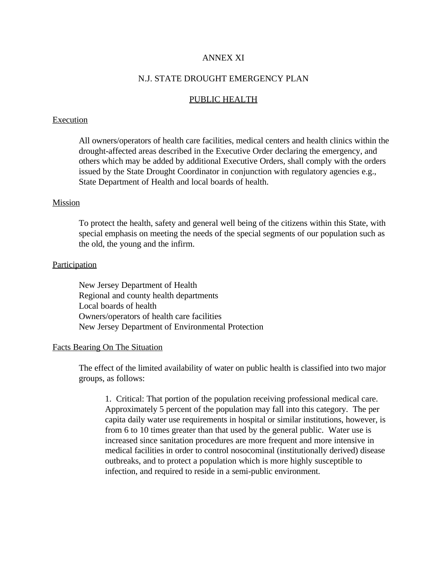# ANNEX XI

#### N.J. STATE DROUGHT EMERGENCY PLAN

#### PUBLIC HEALTH

#### **Execution**

All owners/operators of health care facilities, medical centers and health clinics within the drought-affected areas described in the Executive Order declaring the emergency, and others which may be added by additional Executive Orders, shall comply with the orders issued by the State Drought Coordinator in conjunction with regulatory agencies e.g., State Department of Health and local boards of health.

#### Mission

To protect the health, safety and general well being of the citizens within this State, with special emphasis on meeting the needs of the special segments of our population such as the old, the young and the infirm.

#### **Participation**

New Jersey Department of Health Regional and county health departments Local boards of health Owners/operators of health care facilities New Jersey Department of Environmental Protection

#### Facts Bearing On The Situation

The effect of the limited availability of water on public health is classified into two major groups, as follows:

1. Critical: That portion of the population receiving professional medical care. Approximately 5 percent of the population may fall into this category. The per capita daily water use requirements in hospital or similar institutions, however, is from 6 to 10 times greater than that used by the general public. Water use is increased since sanitation procedures are more frequent and more intensive in medical facilities in order to control nosocominal (institutionally derived) disease outbreaks, and to protect a population which is more highly susceptible to infection, and required to reside in a semi-public environment.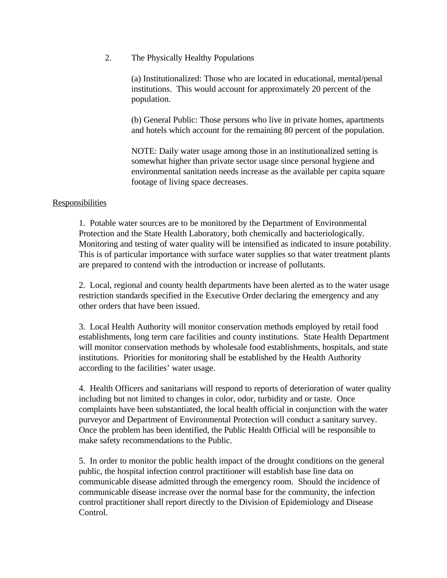2. The Physically Healthy Populations

(a) Institutionalized: Those who are located in educational, mental/penal institutions. This would account for approximately 20 percent of the population.

(b) General Public: Those persons who live in private homes, apartments and hotels which account for the remaining 80 percent of the population.

NOTE: Daily water usage among those in an institutionalized setting is somewhat higher than private sector usage since personal hygiene and environmental sanitation needs increase as the available per capita square footage of living space decreases.

# **Responsibilities**

1. Potable water sources are to be monitored by the Department of Environmental Protection and the State Health Laboratory, both chemically and bacteriologically. Monitoring and testing of water quality will be intensified as indicated to insure potability. This is of particular importance with surface water supplies so that water treatment plants are prepared to contend with the introduction or increase of pollutants.

2. Local, regional and county health departments have been alerted as to the water usage restriction standards specified in the Executive Order declaring the emergency and any other orders that have been issued.

3. Local Health Authority will monitor conservation methods employed by retail food establishments, long term care facilities and county institutions. State Health Department will monitor conservation methods by wholesale food establishments, hospitals, and state institutions. Priorities for monitoring shall be established by the Health Authority according to the facilities' water usage.

4. Health Officers and sanitarians will respond to reports of deterioration of water quality including but not limited to changes in color, odor, turbidity and or taste. Once complaints have been substantiated, the local health official in conjunction with the water purveyor and Department of Environmental Protection will conduct a sanitary survey. Once the problem has been identified, the Public Health Official will be responsible to make safety recommendations to the Public.

5. In order to monitor the public health impact of the drought conditions on the general public, the hospital infection control practitioner will establish base line data on communicable disease admitted through the emergency room. Should the incidence of communicable disease increase over the normal base for the community, the infection control practitioner shall report directly to the Division of Epidemiology and Disease Control.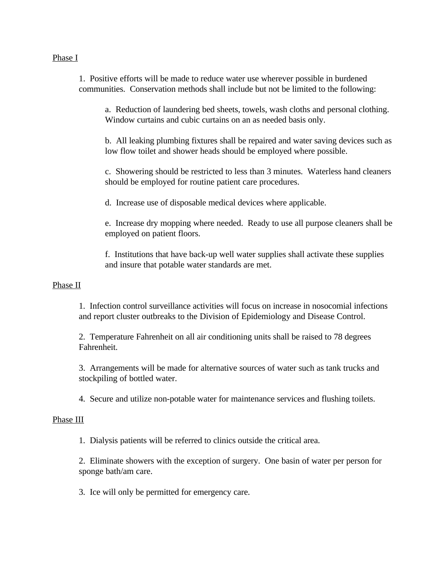## Phase I

1. Positive efforts will be made to reduce water use wherever possible in burdened communities. Conservation methods shall include but not be limited to the following:

a. Reduction of laundering bed sheets, towels, wash cloths and personal clothing. Window curtains and cubic curtains on an as needed basis only.

b. All leaking plumbing fixtures shall be repaired and water saving devices such as low flow toilet and shower heads should be employed where possible.

c. Showering should be restricted to less than 3 minutes. Waterless hand cleaners should be employed for routine patient care procedures.

d. Increase use of disposable medical devices where applicable.

e. Increase dry mopping where needed. Ready to use all purpose cleaners shall be employed on patient floors.

f. Institutions that have back-up well water supplies shall activate these supplies and insure that potable water standards are met.

# Phase II

1. Infection control surveillance activities will focus on increase in nosocomial infections and report cluster outbreaks to the Division of Epidemiology and Disease Control.

2. Temperature Fahrenheit on all air conditioning units shall be raised to 78 degrees Fahrenheit.

3. Arrangements will be made for alternative sources of water such as tank trucks and stockpiling of bottled water.

4. Secure and utilize non-potable water for maintenance services and flushing toilets.

# Phase III

1. Dialysis patients will be referred to clinics outside the critical area.

2. Eliminate showers with the exception of surgery. One basin of water per person for sponge bath/am care.

3. Ice will only be permitted for emergency care.